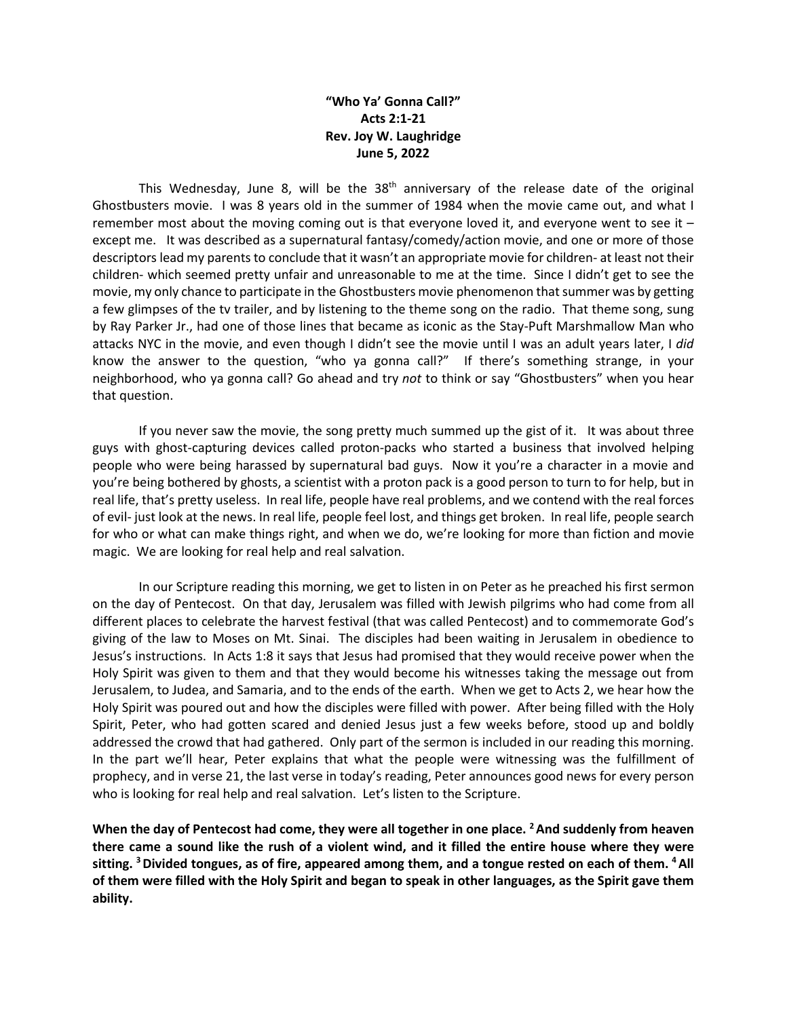## **"Who Ya' Gonna Call?" Acts 2:1-21 Rev. Joy W. Laughridge June 5, 2022**

This Wednesday, June 8, will be the 38<sup>th</sup> anniversary of the release date of the original Ghostbusters movie. I was 8 years old in the summer of 1984 when the movie came out, and what I remember most about the moving coming out is that everyone loved it, and everyone went to see it  $$ except me. It was described as a supernatural fantasy/comedy/action movie, and one or more of those descriptors lead my parents to conclude that it wasn't an appropriate movie for children- at least not their children- which seemed pretty unfair and unreasonable to me at the time. Since I didn't get to see the movie, my only chance to participate in the Ghostbusters movie phenomenon that summer was by getting a few glimpses of the tv trailer, and by listening to the theme song on the radio. That theme song, sung by Ray Parker Jr., had one of those lines that became as iconic as the Stay-Puft Marshmallow Man who attacks NYC in the movie, and even though I didn't see the movie until I was an adult years later, I *did* know the answer to the question, "who ya gonna call?" If there's something strange, in your neighborhood, who ya gonna call? Go ahead and try *not* to think or say "Ghostbusters" when you hear that question.

If you never saw the movie, the song pretty much summed up the gist of it. It was about three guys with ghost-capturing devices called proton-packs who started a business that involved helping people who were being harassed by supernatural bad guys. Now it you're a character in a movie and you're being bothered by ghosts, a scientist with a proton pack is a good person to turn to for help, but in real life, that's pretty useless. In real life, people have real problems, and we contend with the real forces of evil- just look at the news. In real life, people feel lost, and things get broken. In real life, people search for who or what can make things right, and when we do, we're looking for more than fiction and movie magic. We are looking for real help and real salvation.

In our Scripture reading this morning, we get to listen in on Peter as he preached his first sermon on the day of Pentecost. On that day, Jerusalem was filled with Jewish pilgrims who had come from all different places to celebrate the harvest festival (that was called Pentecost) and to commemorate God's giving of the law to Moses on Mt. Sinai. The disciples had been waiting in Jerusalem in obedience to Jesus's instructions. In Acts 1:8 it says that Jesus had promised that they would receive power when the Holy Spirit was given to them and that they would become his witnesses taking the message out from Jerusalem, to Judea, and Samaria, and to the ends of the earth. When we get to Acts 2, we hear how the Holy Spirit was poured out and how the disciples were filled with power. After being filled with the Holy Spirit, Peter, who had gotten scared and denied Jesus just a few weeks before, stood up and boldly addressed the crowd that had gathered. Only part of the sermon is included in our reading this morning. In the part we'll hear, Peter explains that what the people were witnessing was the fulfillment of prophecy, and in verse 21, the last verse in today's reading, Peter announces good news for every person who is looking for real help and real salvation. Let's listen to the Scripture.

**When the day of Pentecost had come, they were all together in one place. 2And suddenly from heaven there came a sound like the rush of a violent wind, and it filled the entire house where they were sitting. 3Divided tongues, as of fire, appeared among them, and a tongue rested on each of them. 4All of them were filled with the Holy Spirit and began to speak in other languages, as the Spirit gave them ability.**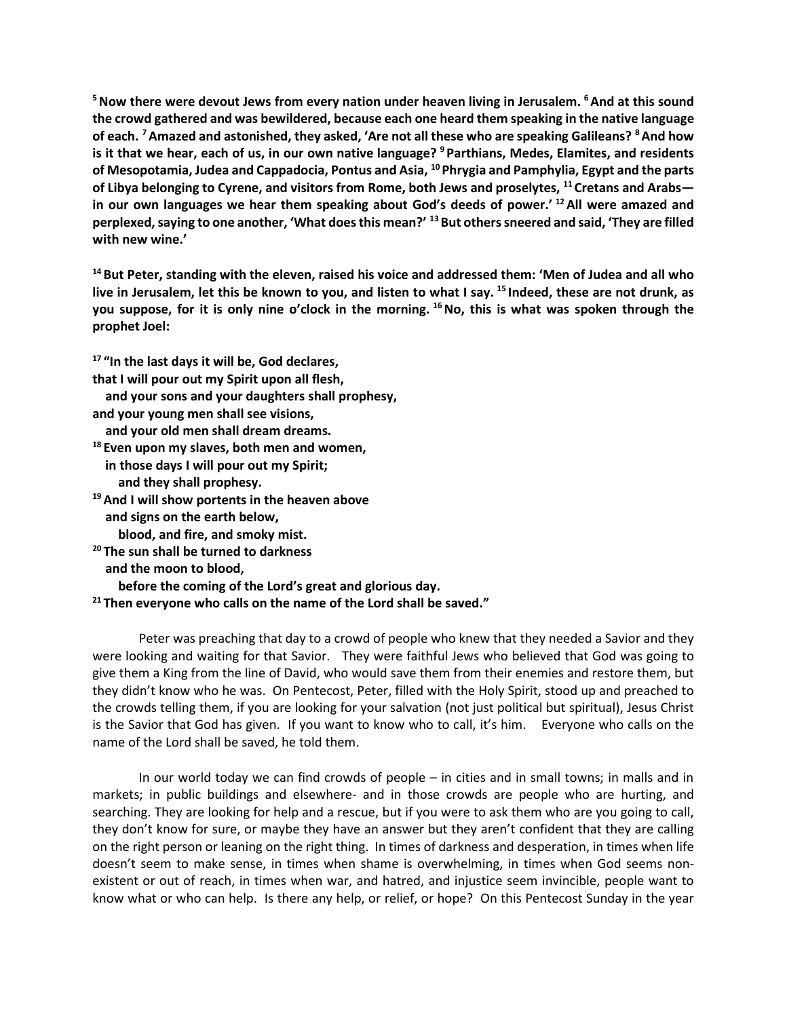**5Now there were devout Jews from every nation under heaven living in Jerusalem. 6And at this sound the crowd gathered and was bewildered, because each one heard them speaking in the native language of each. 7Amazed and astonished, they asked, 'Are not all these who are speaking Galileans? 8And how is it that we hear, each of us, in our own native language? <sup>9</sup> Parthians, Medes, Elamites, and residents of Mesopotamia, Judea and Cappadocia, Pontus and Asia, <sup>10</sup> Phrygia and Pamphylia, Egypt and the parts of Libya belonging to Cyrene, and visitors from Rome, both Jews and proselytes, <sup>11</sup> Cretans and Arabs in our own languages we hear them speaking about God's deeds of power.' 12All were amazed and perplexed, saying to one another, 'What does this mean?' 13But others sneered and said, 'They are filled with new wine.'**

**14But Peter, standing with the eleven, raised his voice and addressed them: 'Men of Judea and all who live in Jerusalem, let this be known to you, and listen to what I say. <sup>15</sup> Indeed, these are not drunk, as you suppose, for it is only nine o'clock in the morning. 16No, this is what was spoken through the prophet Joel:**

**<sup>17</sup> "In the last days it will be, God declares, that I will pour out my Spirit upon all flesh, and your sons and your daughters shall prophesy, and your young men shall see visions, and your old men shall dream dreams. <sup>18</sup> Even upon my slaves, both men and women, in those days I will pour out my Spirit; and they shall prophesy. 19And I will show portents in the heaven above and signs on the earth below, blood, and fire, and smoky mist. <sup>20</sup> The sun shall be turned to darkness and the moon to blood, before the coming of the Lord's great and glorious day.**

**<sup>21</sup> Then everyone who calls on the name of the Lord shall be saved."**

Peter was preaching that day to a crowd of people who knew that they needed a Savior and they were looking and waiting for that Savior. They were faithful Jews who believed that God was going to give them a King from the line of David, who would save them from their enemies and restore them, but they didn't know who he was. On Pentecost, Peter, filled with the Holy Spirit, stood up and preached to the crowds telling them, if you are looking for your salvation (not just political but spiritual), Jesus Christ is the Savior that God has given. If you want to know who to call, it's him. Everyone who calls on the name of the Lord shall be saved, he told them.

In our world today we can find crowds of people – in cities and in small towns; in malls and in markets; in public buildings and elsewhere- and in those crowds are people who are hurting, and searching. They are looking for help and a rescue, but if you were to ask them who are you going to call, they don't know for sure, or maybe they have an answer but they aren't confident that they are calling on the right person or leaning on the right thing. In times of darkness and desperation, in times when life doesn't seem to make sense, in times when shame is overwhelming, in times when God seems nonexistent or out of reach, in times when war, and hatred, and injustice seem invincible, people want to know what or who can help. Is there any help, or relief, or hope? On this Pentecost Sunday in the year